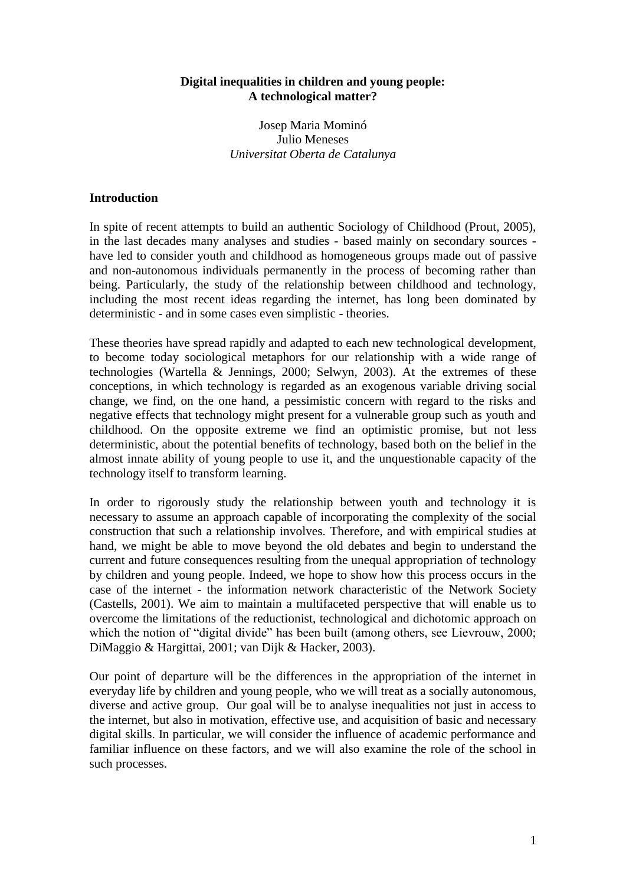### **Digital inequalities in children and young people: A technological matter?**

Josep Maria Mominó Julio Meneses *Universitat Oberta de Catalunya*

#### **Introduction**

In spite of recent attempts to build an authentic Sociology of Childhood (Prout, 2005), in the last decades many analyses and studies - based mainly on secondary sources have led to consider youth and childhood as homogeneous groups made out of passive and non-autonomous individuals permanently in the process of becoming rather than being. Particularly, the study of the relationship between childhood and technology, including the most recent ideas regarding the internet, has long been dominated by deterministic - and in some cases even simplistic - theories.

These theories have spread rapidly and adapted to each new technological development, to become today sociological metaphors for our relationship with a wide range of technologies (Wartella & Jennings, 2000; Selwyn, 2003). At the extremes of these conceptions, in which technology is regarded as an exogenous variable driving social change, we find, on the one hand, a pessimistic concern with regard to the risks and negative effects that technology might present for a vulnerable group such as youth and childhood. On the opposite extreme we find an optimistic promise, but not less deterministic, about the potential benefits of technology, based both on the belief in the almost innate ability of young people to use it, and the unquestionable capacity of the technology itself to transform learning.

In order to rigorously study the relationship between youth and technology it is necessary to assume an approach capable of incorporating the complexity of the social construction that such a relationship involves. Therefore, and with empirical studies at hand, we might be able to move beyond the old debates and begin to understand the current and future consequences resulting from the unequal appropriation of technology by children and young people. Indeed, we hope to show how this process occurs in the case of the internet - the information network characteristic of the Network Society (Castells, 2001). We aim to maintain a multifaceted perspective that will enable us to overcome the limitations of the reductionist, technological and dichotomic approach on which the notion of "digital divide" has been built (among others, see Lievrouw, 2000; DiMaggio & Hargittai, 2001; van Dijk & Hacker, 2003).

Our point of departure will be the differences in the appropriation of the internet in everyday life by children and young people, who we will treat as a socially autonomous, diverse and active group. Our goal will be to analyse inequalities not just in access to the internet, but also in motivation, effective use, and acquisition of basic and necessary digital skills. In particular, we will consider the influence of academic performance and familiar influence on these factors, and we will also examine the role of the school in such processes.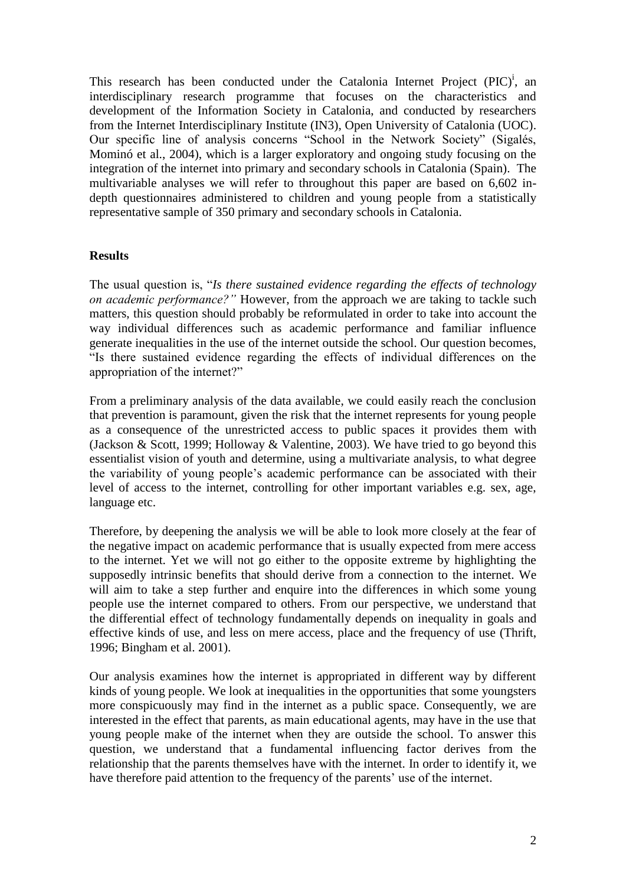This research has been conducted under the Catalonia Internet Project  $(PIC)^i$ , an interdisciplinary research programme that focuses on the characteristics and development of the Information Society in Catalonia, and conducted by researchers from the Internet Interdisciplinary Institute (IN3), Open University of Catalonia (UOC). Our specific line of analysis concerns "School in the Network Society" (Sigalés, Mominó et al., 2004), which is a larger exploratory and ongoing study focusing on the integration of the internet into primary and secondary schools in Catalonia (Spain). The multivariable analyses we will refer to throughout this paper are based on 6,602 indepth questionnaires administered to children and young people from a statistically representative sample of 350 primary and secondary schools in Catalonia.

## **Results**

The usual question is, "*Is there sustained evidence regarding the effects of technology on academic performance?"* However, from the approach we are taking to tackle such matters, this question should probably be reformulated in order to take into account the way individual differences such as academic performance and familiar influence generate inequalities in the use of the internet outside the school. Our question becomes, "Is there sustained evidence regarding the effects of individual differences on the appropriation of the internet?"

From a preliminary analysis of the data available, we could easily reach the conclusion that prevention is paramount, given the risk that the internet represents for young people as a consequence of the unrestricted access to public spaces it provides them with (Jackson & Scott, 1999; Holloway & Valentine, 2003). We have tried to go beyond this essentialist vision of youth and determine, using a multivariate analysis, to what degree the variability of young people"s academic performance can be associated with their level of access to the internet, controlling for other important variables e.g. sex, age, language etc.

Therefore, by deepening the analysis we will be able to look more closely at the fear of the negative impact on academic performance that is usually expected from mere access to the internet. Yet we will not go either to the opposite extreme by highlighting the supposedly intrinsic benefits that should derive from a connection to the internet. We will aim to take a step further and enquire into the differences in which some young people use the internet compared to others. From our perspective, we understand that the differential effect of technology fundamentally depends on inequality in goals and effective kinds of use, and less on mere access, place and the frequency of use (Thrift, 1996; Bingham et al. 2001).

Our analysis examines how the internet is appropriated in different way by different kinds of young people. We look at inequalities in the opportunities that some youngsters more conspicuously may find in the internet as a public space. Consequently, we are interested in the effect that parents, as main educational agents, may have in the use that young people make of the internet when they are outside the school. To answer this question, we understand that a fundamental influencing factor derives from the relationship that the parents themselves have with the internet. In order to identify it, we have therefore paid attention to the frequency of the parents' use of the internet.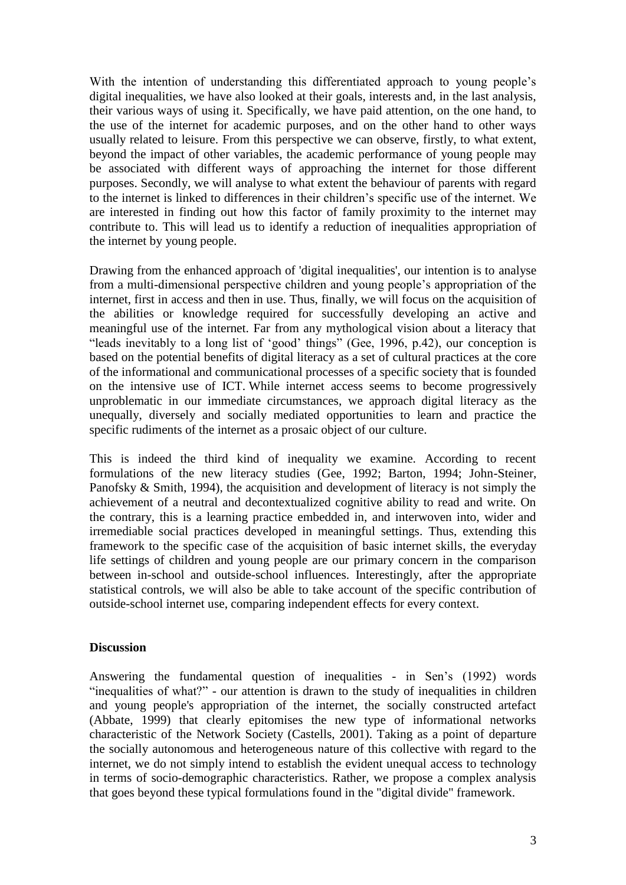With the intention of understanding this differentiated approach to young people's digital inequalities, we have also looked at their goals, interests and, in the last analysis, their various ways of using it. Specifically, we have paid attention, on the one hand, to the use of the internet for academic purposes, and on the other hand to other ways usually related to leisure. From this perspective we can observe, firstly, to what extent, beyond the impact of other variables, the academic performance of young people may be associated with different ways of approaching the internet for those different purposes. Secondly, we will analyse to what extent the behaviour of parents with regard to the internet is linked to differences in their children"s specific use of the internet. We are interested in finding out how this factor of family proximity to the internet may contribute to. This will lead us to identify a reduction of inequalities appropriation of the internet by young people.

Drawing from the enhanced approach of 'digital inequalities', our intention is to analyse from a multi-dimensional perspective children and young people"s appropriation of the internet, first in access and then in use. Thus, finally, we will focus on the acquisition of the abilities or knowledge required for successfully developing an active and meaningful use of the internet. Far from any mythological vision about a literacy that "leads inevitably to a long list of 'good' things" (Gee, 1996, p.42), our conception is based on the potential benefits of digital literacy as a set of cultural practices at the core of the informational and communicational processes of a specific society that is founded on the intensive use of ICT. While internet access seems to become progressively unproblematic in our immediate circumstances, we approach digital literacy as the unequally, diversely and socially mediated opportunities to learn and practice the specific rudiments of the internet as a prosaic object of our culture.

This is indeed the third kind of inequality we examine. According to recent formulations of the new literacy studies (Gee, 1992; Barton, 1994; John-Steiner, Panofsky & Smith, 1994), the acquisition and development of literacy is not simply the achievement of a neutral and decontextualized cognitive ability to read and write. On the contrary, this is a learning practice embedded in, and interwoven into, wider and irremediable social practices developed in meaningful settings. Thus, extending this framework to the specific case of the acquisition of basic internet skills, the everyday life settings of children and young people are our primary concern in the comparison between in-school and outside-school influences. Interestingly, after the appropriate statistical controls, we will also be able to take account of the specific contribution of outside-school internet use, comparing independent effects for every context.

# **Discussion**

Answering the fundamental question of inequalities - in Sen's (1992) words "inequalities of what?" - our attention is drawn to the study of inequalities in children and young people's appropriation of the internet, the socially constructed artefact (Abbate, 1999) that clearly epitomises the new type of informational networks characteristic of the Network Society (Castells, 2001). Taking as a point of departure the socially autonomous and heterogeneous nature of this collective with regard to the internet, we do not simply intend to establish the evident unequal access to technology in terms of socio-demographic characteristics. Rather, we propose a complex analysis that goes beyond these typical formulations found in the "digital divide" framework.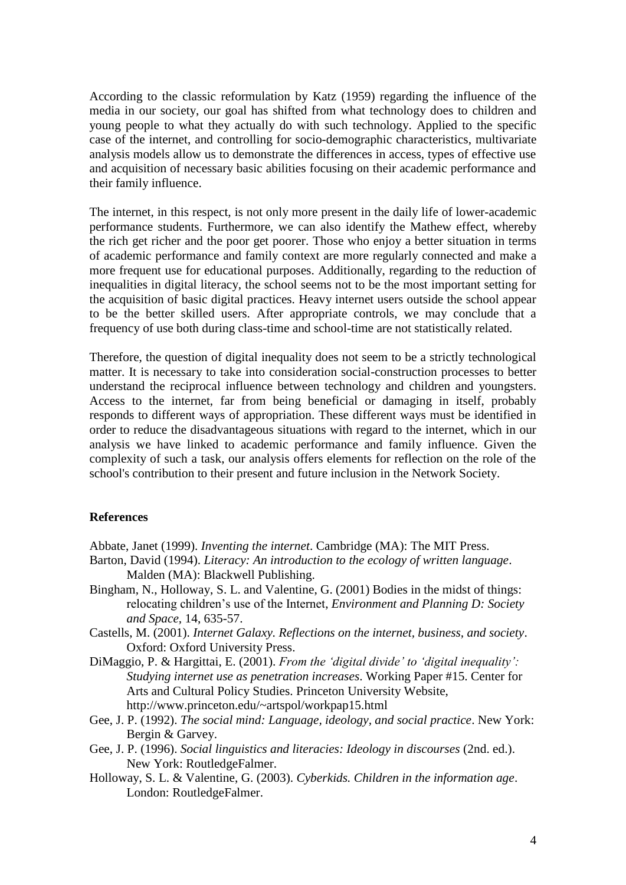According to the classic reformulation by Katz (1959) regarding the influence of the media in our society, our goal has shifted from what technology does to children and young people to what they actually do with such technology. Applied to the specific case of the internet, and controlling for socio-demographic characteristics, multivariate analysis models allow us to demonstrate the differences in access, types of effective use and acquisition of necessary basic abilities focusing on their academic performance and their family influence.

The internet, in this respect, is not only more present in the daily life of lower-academic performance students. Furthermore, we can also identify the Mathew effect, whereby the rich get richer and the poor get poorer. Those who enjoy a better situation in terms of academic performance and family context are more regularly connected and make a more frequent use for educational purposes. Additionally, regarding to the reduction of inequalities in digital literacy, the school seems not to be the most important setting for the acquisition of basic digital practices. Heavy internet users outside the school appear to be the better skilled users. After appropriate controls, we may conclude that a frequency of use both during class-time and school-time are not statistically related.

Therefore, the question of digital inequality does not seem to be a strictly technological matter. It is necessary to take into consideration social-construction processes to better understand the reciprocal influence between technology and children and youngsters. Access to the internet, far from being beneficial or damaging in itself, probably responds to different ways of appropriation. These different ways must be identified in order to reduce the disadvantageous situations with regard to the internet, which in our analysis we have linked to academic performance and family influence. Given the complexity of such a task, our analysis offers elements for reflection on the role of the school's contribution to their present and future inclusion in the Network Society.

#### **References**

Abbate, Janet (1999). *Inventing the internet*. Cambridge (MA): The MIT Press.

- Barton, David (1994). *Literacy: An introduction to the ecology of written language*. Malden (MA): Blackwell Publishing.
- Bingham, N., Holloway, S. L. and Valentine, G. (2001) Bodies in the midst of things: relocating children"s use of the Internet, *Environment and Planning D: Society and Space,* 14, 635-57.
- Castells, M. (2001). *Internet Galaxy. Reflections on the internet, business, and society*. Oxford: Oxford University Press.
- DiMaggio, P. & Hargittai, E. (2001). *From the 'digital divide' to 'digital inequality': Studying internet use as penetration increases*. Working Paper #15. Center for Arts and Cultural Policy Studies. Princeton University Website, http://www.princeton.edu/~artspol/workpap15.html
- Gee, J. P. (1992). *The social mind: Language, ideology, and social practice*. New York: Bergin & Garvey.
- Gee, J. P. (1996). *Social linguistics and literacies: Ideology in discourses* (2nd. ed.). New York: RoutledgeFalmer.
- Holloway, S. L. & Valentine, G. (2003). *Cyberkids. Children in the information age*. London: RoutledgeFalmer.